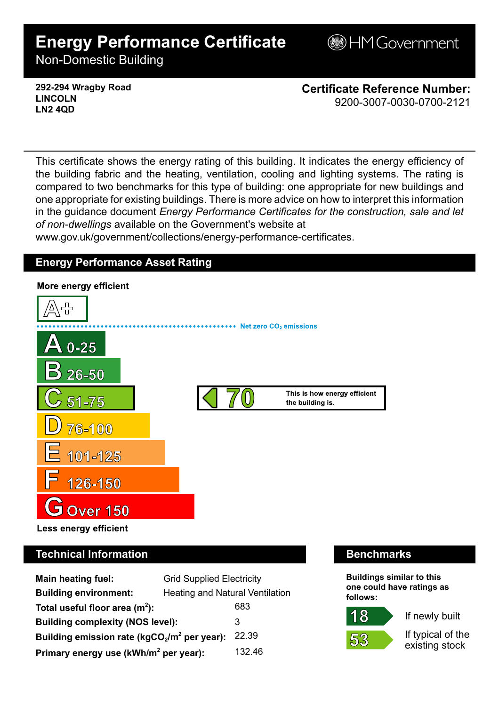# **Energy Performance Certificate**

**B**HM Government

Non-Domestic Building

**292-294 Wragby Road LINCOLN LN2 4QD**

**Certificate Reference Number:** 9200-3007-0030-0700-2121

This certificate shows the energy rating of this building. It indicates the energy efficiency of the building fabric and the heating, ventilation, cooling and lighting systems. The rating is compared to two benchmarks for this type of building: one appropriate for new buildings and one appropriate for existing buildings. There is more advice on how to interpret this information in the guidance document *Energy Performance Certificates for the construction, sale and let of non-dwellings* available on the Government's website at

www.gov.uk/government/collections/energy-performance-certificates.

# **Energy Performance Asset Rating**



# **Technical Information Benchmarks**

| <b>Main heating fuel:</b>                               | <b>Grid Supplied Electricity</b>       |        |
|---------------------------------------------------------|----------------------------------------|--------|
| <b>Building environment:</b>                            | <b>Heating and Natural Ventilation</b> |        |
| Total useful floor area $(m2)$ :                        |                                        | 683    |
| <b>Building complexity (NOS level):</b>                 |                                        | 3      |
| Building emission rate ( $kgCO2/m2$ per year):<br>22.39 |                                        |        |
| Primary energy use (kWh/m <sup>2</sup> per year):       |                                        | 132.46 |

**Buildings similar to this one could have ratings as follows:**

If newly built



If typical of the existing stock